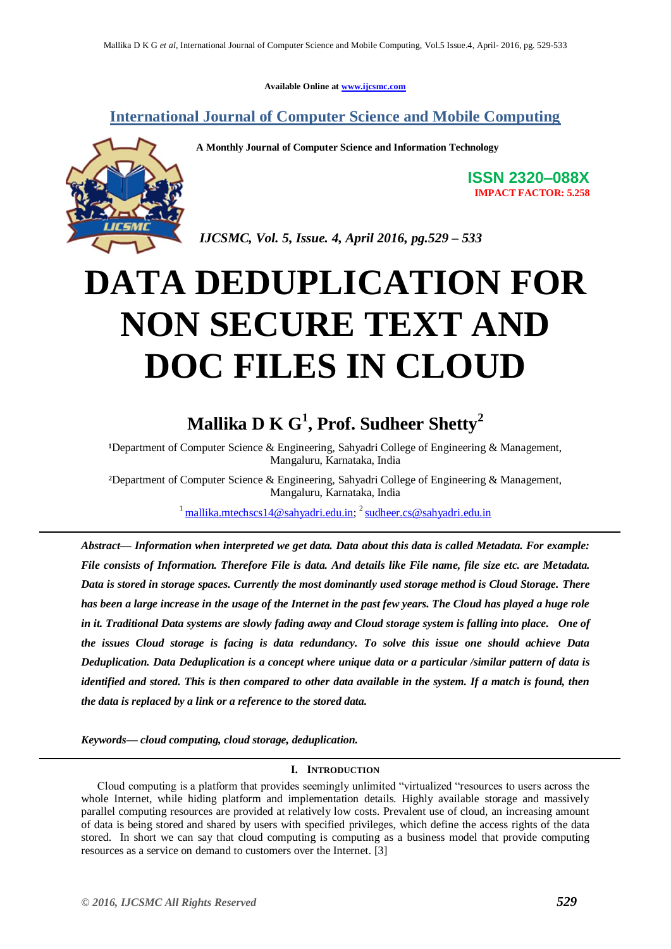**Available Online at [www.ijcsmc.com](http://www.ijcsmc.com/)**

### **International Journal of Computer Science and Mobile Computing**



**A Monthly Journal of Computer Science and Information Technology**

**ISSN 2320–088X IMPACT FACTOR: 5.258**

*IJCSMC, Vol. 5, Issue. 4, April 2016, pg.529 – 533*

# **DATA DEDUPLICATION FOR NON SECURE TEXT AND DOC FILES IN CLOUD**

## **Mallika D K G<sup>1</sup> , Prof. Sudheer Shetty<sup>2</sup>**

<sup>1</sup>Department of Computer Science & Engineering, Sahyadri College of Engineering & Management, Mangaluru, Karnataka, India

²Department of Computer Science & Engineering, Sahyadri College of Engineering & Management, Mangaluru, Karnataka, India

<sup>1</sup> [mallika.mtechscs14@sahyadri.edu.in;](mailto:mallika.mtechscs14@sahyadri.edu.in) <sup>2</sup> [sudheer.cs@sahyadri.edu.in](mailto:sudheer.cs@sahyadri.edu.in)

*Abstract— Information when interpreted we get data. Data about this data is called Metadata. For example: File consists of Information. Therefore File is data. And details like File name, file size etc. are Metadata. Data is stored in storage spaces. Currently the most dominantly used storage method is Cloud Storage. There has been a large increase in the usage of the Internet in the past few years. The Cloud has played a huge role*  in it. Traditional Data systems are slowly fading away and Cloud storage system is falling into place. One of *the issues Cloud storage is facing is data redundancy. To solve this issue one should achieve Data Deduplication. Data Deduplication is a concept where unique data or a particular /similar pattern of data is identified and stored. This is then compared to other data available in the system. If a match is found, then the data is replaced by a link or a reference to the stored data.*

*Keywords— cloud computing, cloud storage, deduplication.*

#### **I. INTRODUCTION**

Cloud computing is a platform that provides seemingly unlimited "virtualized "resources to users across the whole Internet, while hiding platform and implementation details. Highly available storage and massively parallel computing resources are provided at relatively low costs. Prevalent use of cloud, an increasing amount of data is being stored and shared by users with specified privileges, which define the access rights of the data stored. In short we can say that cloud computing is computing as a business model that provide computing resources as a service on demand to customers over the Internet. [3]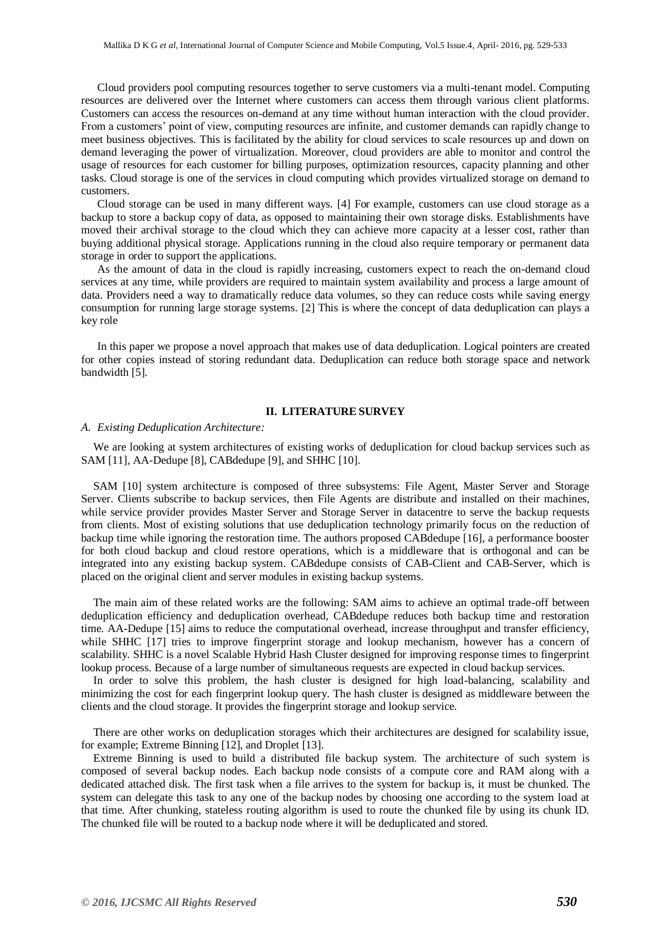Cloud providers pool computing resources together to serve customers via a multi-tenant model. Computing resources are delivered over the Internet where customers can access them through various client platforms. Customers can access the resources on-demand at any time without human interaction with the cloud provider. From a customers' point of view, computing resources are infinite, and customer demands can rapidly change to meet business objectives. This is facilitated by the ability for cloud services to scale resources up and down on demand leveraging the power of virtualization. Moreover, cloud providers are able to monitor and control the usage of resources for each customer for billing purposes, optimization resources, capacity planning and other tasks. Cloud storage is one of the services in cloud computing which provides virtualized storage on demand to customers.

Cloud storage can be used in many different ways. [4] For example, customers can use cloud storage as a backup to store a backup copy of data, as opposed to maintaining their own storage disks. Establishments have moved their archival storage to the cloud which they can achieve more capacity at a lesser cost, rather than buying additional physical storage. Applications running in the cloud also require temporary or permanent data storage in order to support the applications.

As the amount of data in the cloud is rapidly increasing, customers expect to reach the on-demand cloud services at any time, while providers are required to maintain system availability and process a large amount of data. Providers need a way to dramatically reduce data volumes, so they can reduce costs while saving energy consumption for running large storage systems. [2] This is where the concept of data deduplication can plays a key role

In this paper we propose a novel approach that makes use of data deduplication. Logical pointers are created for other copies instead of storing redundant data. Deduplication can reduce both storage space and network bandwidth [5].

#### **II. LITERATURE SURVEY**

#### *A. Existing Deduplication Architecture:*

We are looking at system architectures of existing works of deduplication for cloud backup services such as SAM [11], AA-Dedupe [8], CABdedupe [9], and SHHC [10].

SAM [10] system architecture is composed of three subsystems: File Agent, Master Server and Storage Server. Clients subscribe to backup services, then File Agents are distribute and installed on their machines, while service provider provides Master Server and Storage Server in datacentre to serve the backup requests from clients. Most of existing solutions that use deduplication technology primarily focus on the reduction of backup time while ignoring the restoration time. The authors proposed CABdedupe [16], a performance booster for both cloud backup and cloud restore operations, which is a middleware that is orthogonal and can be integrated into any existing backup system. CABdedupe consists of CAB-Client and CAB-Server, which is placed on the original client and server modules in existing backup systems.

The main aim of these related works are the following: SAM aims to achieve an optimal trade-off between deduplication efficiency and deduplication overhead, CABdedupe reduces both backup time and restoration time. AA-Dedupe [15] aims to reduce the computational overhead, increase throughput and transfer efficiency, while SHHC [17] tries to improve fingerprint storage and lookup mechanism, however has a concern of scalability. SHHC is a novel Scalable Hybrid Hash Cluster designed for improving response times to fingerprint lookup process. Because of a large number of simultaneous requests are expected in cloud backup services.

In order to solve this problem, the hash cluster is designed for high load-balancing, scalability and minimizing the cost for each fingerprint lookup query. The hash cluster is designed as middleware between the clients and the cloud storage. It provides the fingerprint storage and lookup service.

There are other works on deduplication storages which their architectures are designed for scalability issue, for example; Extreme Binning [12], and Droplet [13].

Extreme Binning is used to build a distributed file backup system. The architecture of such system is composed of several backup nodes. Each backup node consists of a compute core and RAM along with a dedicated attached disk. The first task when a file arrives to the system for backup is, it must be chunked. The system can delegate this task to any one of the backup nodes by choosing one according to the system load at that time. After chunking, stateless routing algorithm is used to route the chunked file by using its chunk ID. The chunked file will be routed to a backup node where it will be deduplicated and stored.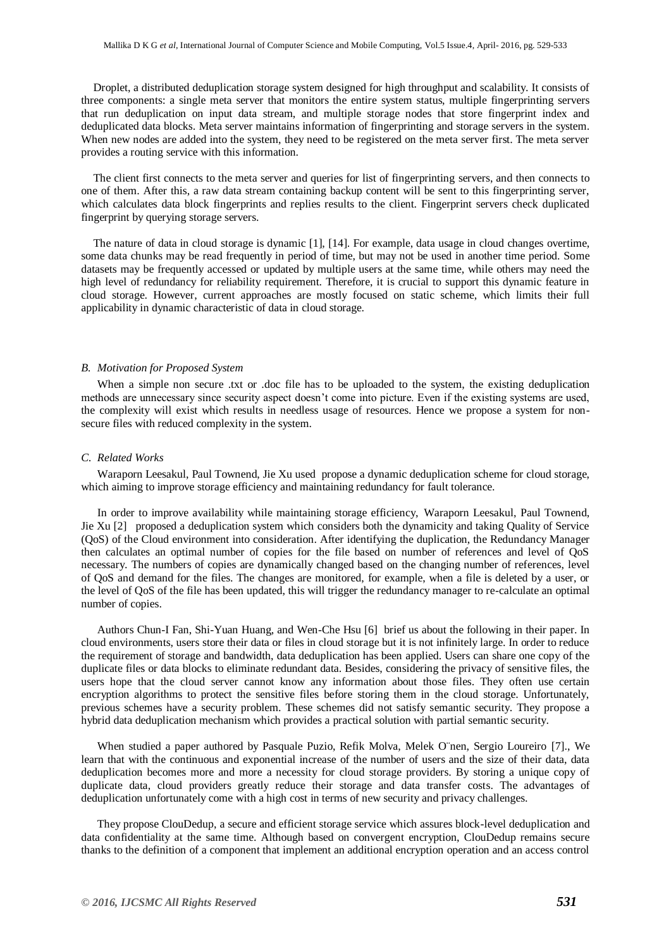Droplet, a distributed deduplication storage system designed for high throughput and scalability. It consists of three components: a single meta server that monitors the entire system status, multiple fingerprinting servers that run deduplication on input data stream, and multiple storage nodes that store fingerprint index and deduplicated data blocks. Meta server maintains information of fingerprinting and storage servers in the system. When new nodes are added into the system, they need to be registered on the meta server first. The meta server provides a routing service with this information.

The client first connects to the meta server and queries for list of fingerprinting servers, and then connects to one of them. After this, a raw data stream containing backup content will be sent to this fingerprinting server, which calculates data block fingerprints and replies results to the client. Fingerprint servers check duplicated fingerprint by querying storage servers.

The nature of data in cloud storage is dynamic [1], [14]. For example, data usage in cloud changes overtime, some data chunks may be read frequently in period of time, but may not be used in another time period. Some datasets may be frequently accessed or updated by multiple users at the same time, while others may need the high level of redundancy for reliability requirement. Therefore, it is crucial to support this dynamic feature in cloud storage. However, current approaches are mostly focused on static scheme, which limits their full applicability in dynamic characteristic of data in cloud storage.

#### *B. Motivation for Proposed System*

When a simple non secure .txt or .doc file has to be uploaded to the system, the existing deduplication methods are unnecessary since security aspect doesn't come into picture. Even if the existing systems are used, the complexity will exist which results in needless usage of resources. Hence we propose a system for nonsecure files with reduced complexity in the system.

#### *C. Related Works*

Waraporn Leesakul, Paul Townend, Jie Xu used propose a dynamic deduplication scheme for cloud storage, which aiming to improve storage efficiency and maintaining redundancy for fault tolerance.

In order to improve availability while maintaining storage efficiency, Waraporn Leesakul, Paul Townend, Jie Xu [2] proposed a deduplication system which considers both the dynamicity and taking Quality of Service (QoS) of the Cloud environment into consideration. After identifying the duplication, the Redundancy Manager then calculates an optimal number of copies for the file based on number of references and level of QoS necessary. The numbers of copies are dynamically changed based on the changing number of references, level of QoS and demand for the files. The changes are monitored, for example, when a file is deleted by a user, or the level of QoS of the file has been updated, this will trigger the redundancy manager to re-calculate an optimal number of copies.

Authors Chun-I Fan, Shi-Yuan Huang, and Wen-Che Hsu [6] brief us about the following in their paper. In cloud environments, users store their data or files in cloud storage but it is not infinitely large. In order to reduce the requirement of storage and bandwidth, data deduplication has been applied. Users can share one copy of the duplicate files or data blocks to eliminate redundant data. Besides, considering the privacy of sensitive files, the users hope that the cloud server cannot know any information about those files. They often use certain encryption algorithms to protect the sensitive files before storing them in the cloud storage. Unfortunately, previous schemes have a security problem. These schemes did not satisfy semantic security. They propose a hybrid data deduplication mechanism which provides a practical solution with partial semantic security.

When studied a paper authored by Pasquale Puzio, Refik Molva, Melek O¨nen, Sergio Loureiro [7]., We learn that with the continuous and exponential increase of the number of users and the size of their data, data deduplication becomes more and more a necessity for cloud storage providers. By storing a unique copy of duplicate data, cloud providers greatly reduce their storage and data transfer costs. The advantages of deduplication unfortunately come with a high cost in terms of new security and privacy challenges.

They propose ClouDedup, a secure and efficient storage service which assures block-level deduplication and data confidentiality at the same time. Although based on convergent encryption, ClouDedup remains secure thanks to the definition of a component that implement an additional encryption operation and an access control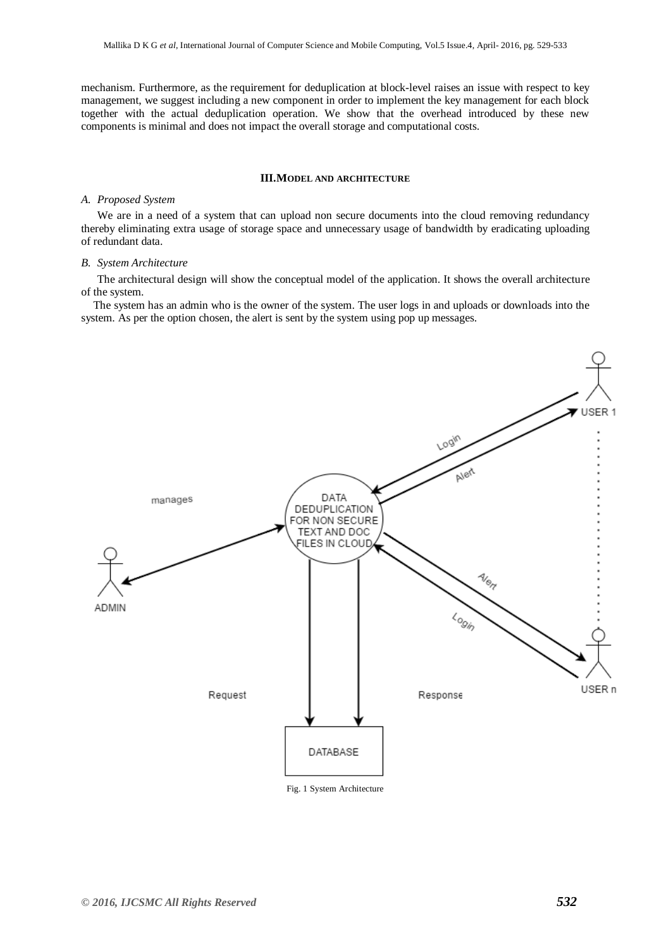mechanism. Furthermore, as the requirement for deduplication at block-level raises an issue with respect to key management, we suggest including a new component in order to implement the key management for each block together with the actual deduplication operation. We show that the overhead introduced by these new components is minimal and does not impact the overall storage and computational costs.

#### **III.MODEL AND ARCHITECTURE**

#### *A. Proposed System*

We are in a need of a system that can upload non secure documents into the cloud removing redundancy thereby eliminating extra usage of storage space and unnecessary usage of bandwidth by eradicating uploading of redundant data.

#### *B. System Architecture*

The architectural design will show the conceptual model of the application. It shows the overall architecture of the system.

The system has an admin who is the owner of the system. The user logs in and uploads or downloads into the system. As per the option chosen, the alert is sent by the system using pop up messages.